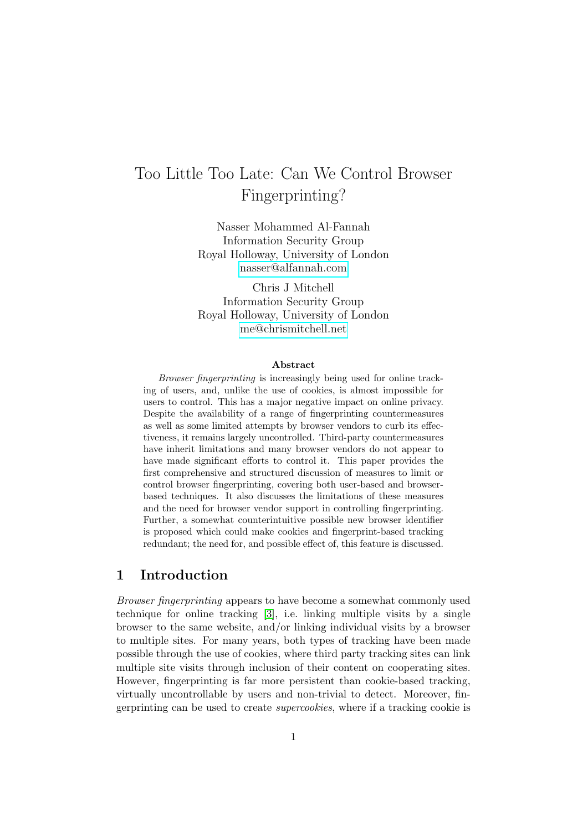# <span id="page-0-0"></span>Too Little Too Late: Can We Control Browser Fingerprinting?

Nasser Mohammed Al-Fannah Information Security Group Royal Holloway, University of London [nasser@alfannah.com](mailto:nasser@alfannah.com)

Chris J Mitchell Information Security Group Royal Holloway, University of London [me@chrismitchell.net](mailto: me@chrismitchell.net )

#### Abstract

Browser fingerprinting is increasingly being used for online tracking of users, and, unlike the use of cookies, is almost impossible for users to control. This has a major negative impact on online privacy. Despite the availability of a range of fingerprinting countermeasures as well as some limited attempts by browser vendors to curb its effectiveness, it remains largely uncontrolled. Third-party countermeasures have inherit limitations and many browser vendors do not appear to have made significant efforts to control it. This paper provides the first comprehensive and structured discussion of measures to limit or control browser fingerprinting, covering both user-based and browserbased techniques. It also discusses the limitations of these measures and the need for browser vendor support in controlling fingerprinting. Further, a somewhat counterintuitive possible new browser identifier is proposed which could make cookies and fingerprint-based tracking redundant; the need for, and possible effect of, this feature is discussed.

### 1 Introduction

Browser fingerprinting appears to have become a somewhat commonly used technique for online tracking [\[3\]](#page-18-0), i.e. linking multiple visits by a single browser to the same website, and/or linking individual visits by a browser to multiple sites. For many years, both types of tracking have been made possible through the use of cookies, where third party tracking sites can link multiple site visits through inclusion of their content on cooperating sites. However, fingerprinting is far more persistent than cookie-based tracking, virtually uncontrollable by users and non-trivial to detect. Moreover, fingerprinting can be used to create supercookies, where if a tracking cookie is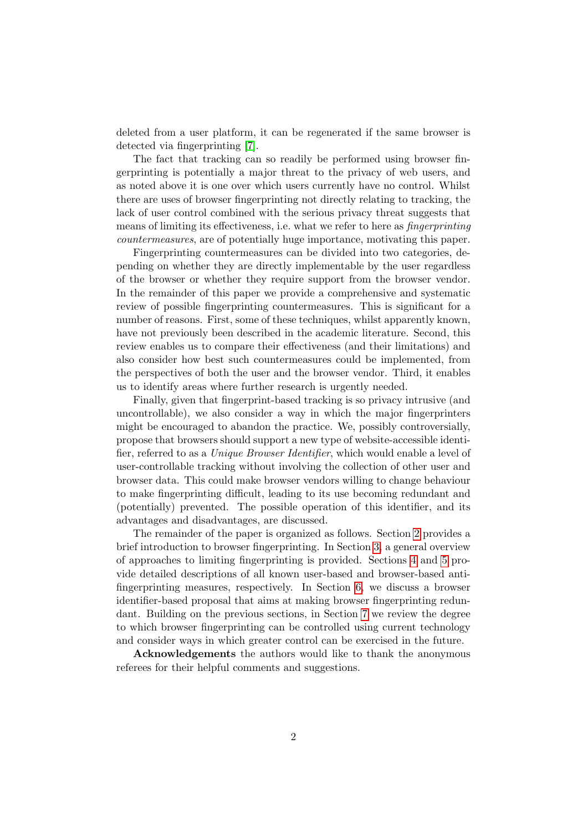deleted from a user platform, it can be regenerated if the same browser is detected via fingerprinting [\[7\]](#page-19-0).

The fact that tracking can so readily be performed using browser fingerprinting is potentially a major threat to the privacy of web users, and as noted above it is one over which users currently have no control. Whilst there are uses of browser fingerprinting not directly relating to tracking, the lack of user control combined with the serious privacy threat suggests that means of limiting its effectiveness, i.e. what we refer to here as fingerprinting countermeasures, are of potentially huge importance, motivating this paper.

Fingerprinting countermeasures can be divided into two categories, depending on whether they are directly implementable by the user regardless of the browser or whether they require support from the browser vendor. In the remainder of this paper we provide a comprehensive and systematic review of possible fingerprinting countermeasures. This is significant for a number of reasons. First, some of these techniques, whilst apparently known, have not previously been described in the academic literature. Second, this review enables us to compare their effectiveness (and their limitations) and also consider how best such countermeasures could be implemented, from the perspectives of both the user and the browser vendor. Third, it enables us to identify areas where further research is urgently needed.

Finally, given that fingerprint-based tracking is so privacy intrusive (and uncontrollable), we also consider a way in which the major fingerprinters might be encouraged to abandon the practice. We, possibly controversially, propose that browsers should support a new type of website-accessible identifier, referred to as a Unique Browser Identifier, which would enable a level of user-controllable tracking without involving the collection of other user and browser data. This could make browser vendors willing to change behaviour to make fingerprinting difficult, leading to its use becoming redundant and (potentially) prevented. The possible operation of this identifier, and its advantages and disadvantages, are discussed.

The remainder of the paper is organized as follows. Section [2](#page-2-0) provides a brief introduction to browser fingerprinting. In Section [3,](#page-2-1) a general overview of approaches to limiting fingerprinting is provided. Sections [4](#page-4-0) and [5](#page-8-0) provide detailed descriptions of all known user-based and browser-based antifingerprinting measures, respectively. In Section [6,](#page-12-0) we discuss a browser identifier-based proposal that aims at making browser fingerprinting redundant. Building on the previous sections, in Section [7](#page-16-0) we review the degree to which browser fingerprinting can be controlled using current technology and consider ways in which greater control can be exercised in the future.

Acknowledgements the authors would like to thank the anonymous referees for their helpful comments and suggestions.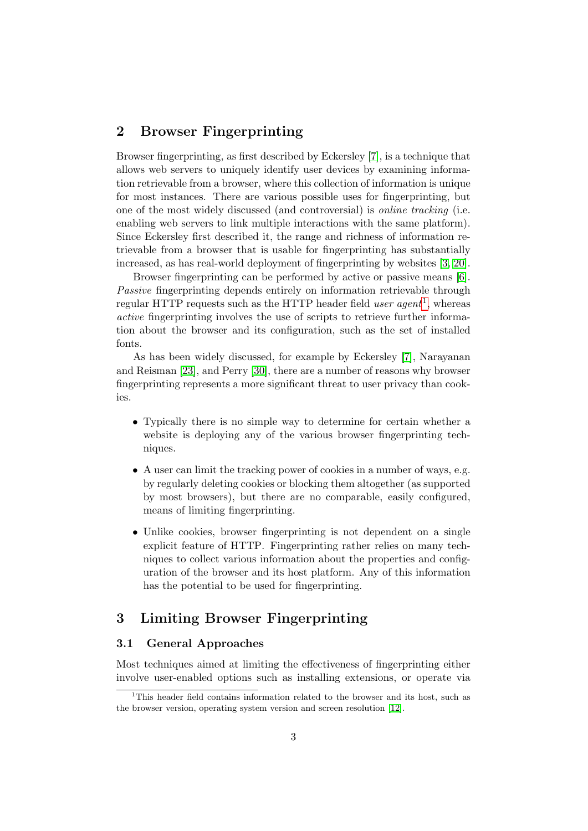# <span id="page-2-0"></span>2 Browser Fingerprinting

Browser fingerprinting, as first described by Eckersley [\[7\]](#page-19-0), is a technique that allows web servers to uniquely identify user devices by examining information retrievable from a browser, where this collection of information is unique for most instances. There are various possible uses for fingerprinting, but one of the most widely discussed (and controversial) is online tracking (i.e. enabling web servers to link multiple interactions with the same platform). Since Eckersley first described it, the range and richness of information retrievable from a browser that is usable for fingerprinting has substantially increased, as has real-world deployment of fingerprinting by websites [\[3,](#page-18-0) [20\]](#page-20-0).

Browser fingerprinting can be performed by active or passive means [\[6\]](#page-19-1). Passive fingerprinting depends entirely on information retrievable through regular HTTP requests such as the HTTP header field *user agent*<sup>[1](#page-0-0)</sup>, whereas active fingerprinting involves the use of scripts to retrieve further information about the browser and its configuration, such as the set of installed fonts.

As has been widely discussed, for example by Eckersley [\[7\]](#page-19-0), Narayanan and Reisman [\[23\]](#page-21-0), and Perry [\[30\]](#page-21-1), there are a number of reasons why browser fingerprinting represents a more significant threat to user privacy than cookies.

- Typically there is no simple way to determine for certain whether a website is deploying any of the various browser fingerprinting techniques.
- A user can limit the tracking power of cookies in a number of ways, e.g. by regularly deleting cookies or blocking them altogether (as supported by most browsers), but there are no comparable, easily configured, means of limiting fingerprinting.
- Unlike cookies, browser fingerprinting is not dependent on a single explicit feature of HTTP. Fingerprinting rather relies on many techniques to collect various information about the properties and configuration of the browser and its host platform. Any of this information has the potential to be used for fingerprinting.

# <span id="page-2-1"></span>3 Limiting Browser Fingerprinting

### <span id="page-2-2"></span>3.1 General Approaches

Most techniques aimed at limiting the effectiveness of fingerprinting either involve user-enabled options such as installing extensions, or operate via

<sup>&</sup>lt;sup>1</sup>This header field contains information related to the browser and its host, such as the browser version, operating system version and screen resolution [\[12\]](#page-19-2).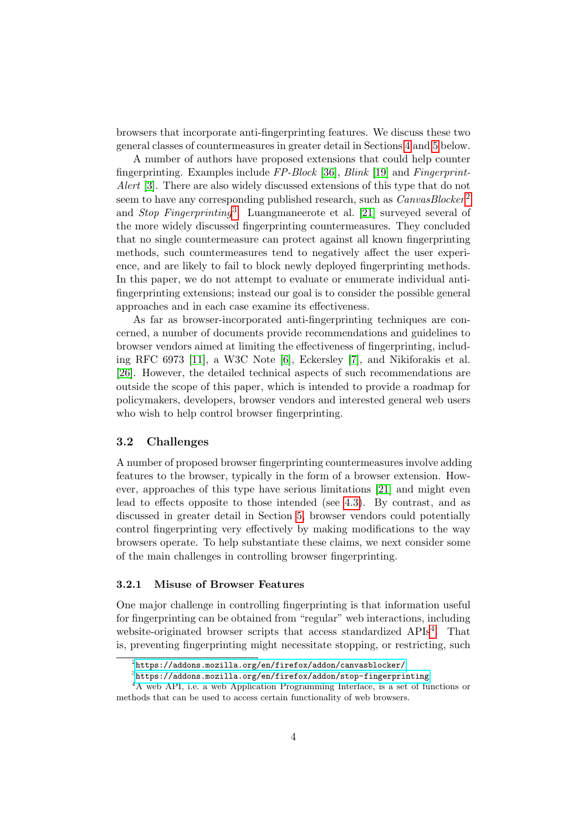browsers that incorporate anti-fingerprinting features. We discuss these two general classes of countermeasures in greater detail in Sections [4](#page-4-0) and [5](#page-8-0) below.

A number of authors have proposed extensions that could help counter fingerprinting. Examples include FP-Block [\[36\]](#page-22-0), Blink [\[19\]](#page-20-1) and Fingerprint-Alert [\[3\]](#page-18-0). There are also widely discussed extensions of this type that do not seem to have any corresponding published research, such as *CanvasBlocker*<sup>[2](#page-0-0)</sup> and *Stop Fingerprinting*<sup>[3](#page-0-0)</sup>. Luangmaneerote et al. [\[21\]](#page-20-2) surveyed several of the more widely discussed fingerprinting countermeasures. They concluded that no single countermeasure can protect against all known fingerprinting methods, such countermeasures tend to negatively affect the user experience, and are likely to fail to block newly deployed fingerprinting methods. In this paper, we do not attempt to evaluate or enumerate individual antifingerprinting extensions; instead our goal is to consider the possible general approaches and in each case examine its effectiveness.

As far as browser-incorporated anti-fingerprinting techniques are concerned, a number of documents provide recommendations and guidelines to browser vendors aimed at limiting the effectiveness of fingerprinting, including RFC 6973 [\[11\]](#page-19-3), a W3C Note [\[6\]](#page-19-1), Eckersley [\[7\]](#page-19-0), and Nikiforakis et al. [\[26\]](#page-21-2). However, the detailed technical aspects of such recommendations are outside the scope of this paper, which is intended to provide a roadmap for policymakers, developers, browser vendors and interested general web users who wish to help control browser fingerprinting.

#### 3.2 Challenges

A number of proposed browser fingerprinting countermeasures involve adding features to the browser, typically in the form of a browser extension. However, approaches of this type have serious limitations [\[21\]](#page-20-2) and might even lead to effects opposite to those intended (see [4.3\)](#page-6-0). By contrast, and as discussed in greater detail in Section [5,](#page-8-0) browser vendors could potentially control fingerprinting very effectively by making modifications to the way browsers operate. To help substantiate these claims, we next consider some of the main challenges in controlling browser fingerprinting.

#### 3.2.1 Misuse of Browser Features

One major challenge in controlling fingerprinting is that information useful for fingerprinting can be obtained from "regular" web interactions, including website-originated browser scripts that access standardized APIs<sup>[4](#page-0-0)</sup>. That is, preventing fingerprinting might necessitate stopping, or restricting, such

 $^{2}$ <https://addons.mozilla.org/en/firefox/addon/canvasblocker/>

 $^3$ <https://addons.mozilla.org/en/firefox/addon/stop-fingerprinting>

<sup>4</sup>A web API, i.e. a web Application Programming Interface, is a set of functions or methods that can be used to access certain functionality of web browsers.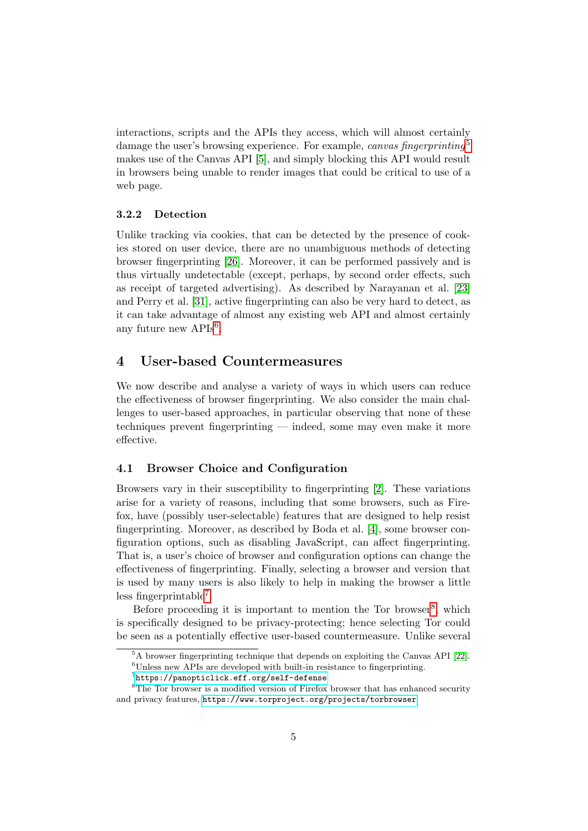interactions, scripts and the APIs they access, which will almost certainly damage the user's browsing experience. For example, canvas fingerprinting<sup>[5](#page-0-0)</sup> makes use of the Canvas API [\[5\]](#page-18-1), and simply blocking this API would result in browsers being unable to render images that could be critical to use of a web page.

#### 3.2.2 Detection

Unlike tracking via cookies, that can be detected by the presence of cookies stored on user device, there are no unambiguous methods of detecting browser fingerprinting [\[26\]](#page-21-2). Moreover, it can be performed passively and is thus virtually undetectable (except, perhaps, by second order effects, such as receipt of targeted advertising). As described by Narayanan et al. [\[23\]](#page-21-0) and Perry et al. [\[31\]](#page-21-3), active fingerprinting can also be very hard to detect, as it can take advantage of almost any existing web API and almost certainly any future new APIs<sup>[6](#page-0-0)</sup>.

# <span id="page-4-0"></span>4 User-based Countermeasures

We now describe and analyse a variety of ways in which users can reduce the effectiveness of browser fingerprinting. We also consider the main challenges to user-based approaches, in particular observing that none of these techniques prevent fingerprinting — indeed, some may even make it more effective.

#### <span id="page-4-1"></span>4.1 Browser Choice and Configuration

Browsers vary in their susceptibility to fingerprinting [\[2\]](#page-18-2). These variations arise for a variety of reasons, including that some browsers, such as Firefox, have (possibly user-selectable) features that are designed to help resist fingerprinting. Moreover, as described by Boda et al. [\[4\]](#page-18-3), some browser configuration options, such as disabling JavaScript, can affect fingerprinting. That is, a user's choice of browser and configuration options can change the effectiveness of fingerprinting. Finally, selecting a browser and version that is used by many users is also likely to help in making the browser a little less fingerprintable[7](#page-0-0) .

Before proceeding it is important to mention the Tor browser<sup>[8](#page-0-0)</sup>, which is specifically designed to be privacy-protecting; hence selecting Tor could be seen as a potentially effective user-based countermeasure. Unlike several

<sup>&</sup>lt;sup>5</sup>A browser fingerprinting technique that depends on exploiting the Canvas API [\[22\]](#page-20-3).  ${}^{6}$ Unless new APIs are developed with built-in resistance to fingerprinting.

 $^{7}$ <https://panopticlick.eff.org/self-defense>

<sup>&</sup>lt;sup>8</sup>The Tor browser is a modified version of Firefox browser that has enhanced security and privacy features, <https://www.torproject.org/projects/torbrowser>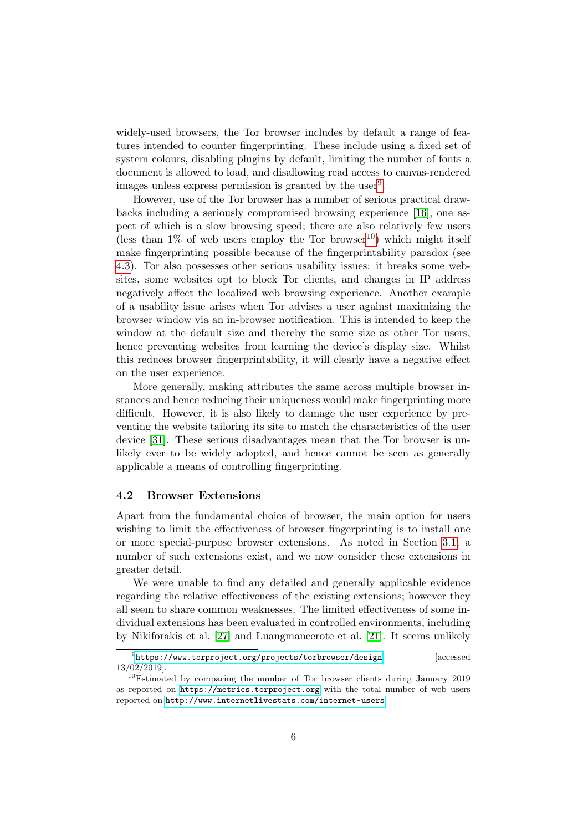widely-used browsers, the Tor browser includes by default a range of features intended to counter fingerprinting. These include using a fixed set of system colours, disabling plugins by default, limiting the number of fonts a document is allowed to load, and disallowing read access to canvas-rendered images unless express permission is granted by the user<sup>[9](#page-0-0)</sup>.

However, use of the Tor browser has a number of serious practical drawbacks including a seriously compromised browsing experience [\[16\]](#page-20-4), one aspect of which is a slow browsing speed; there are also relatively few users (less than  $1\%$  of web users employ the Tor browser<sup>[10](#page-0-0)</sup>) which might itself make fingerprinting possible because of the fingerprintability paradox (see [4.3\)](#page-6-0). Tor also possesses other serious usability issues: it breaks some websites, some websites opt to block Tor clients, and changes in IP address negatively affect the localized web browsing experience. Another example of a usability issue arises when Tor advises a user against maximizing the browser window via an in-browser notification. This is intended to keep the window at the default size and thereby the same size as other Tor users, hence preventing websites from learning the device's display size. Whilst this reduces browser fingerprintability, it will clearly have a negative effect on the user experience.

More generally, making attributes the same across multiple browser instances and hence reducing their uniqueness would make fingerprinting more difficult. However, it is also likely to damage the user experience by preventing the website tailoring its site to match the characteristics of the user device [\[31\]](#page-21-3). These serious disadvantages mean that the Tor browser is unlikely ever to be widely adopted, and hence cannot be seen as generally applicable a means of controlling fingerprinting.

#### <span id="page-5-0"></span>4.2 Browser Extensions

Apart from the fundamental choice of browser, the main option for users wishing to limit the effectiveness of browser fingerprinting is to install one or more special-purpose browser extensions. As noted in Section [3.1,](#page-2-2) a number of such extensions exist, and we now consider these extensions in greater detail.

We were unable to find any detailed and generally applicable evidence regarding the relative effectiveness of the existing extensions; however they all seem to share common weaknesses. The limited effectiveness of some individual extensions has been evaluated in controlled environments, including by Nikiforakis et al. [\[27\]](#page-21-4) and Luangmaneerote et al. [\[21\]](#page-20-2). It seems unlikely

 $^{9}$ <https://www.torproject.org/projects/torbrowser/design> [accessed 13/02/2019].

 $10$ Estimated by comparing the number of Tor browser clients during January 2019 as reported on <https://metrics.torproject.org> with the total number of web users reported on <http://www.internetlivestats.com/internet-users>.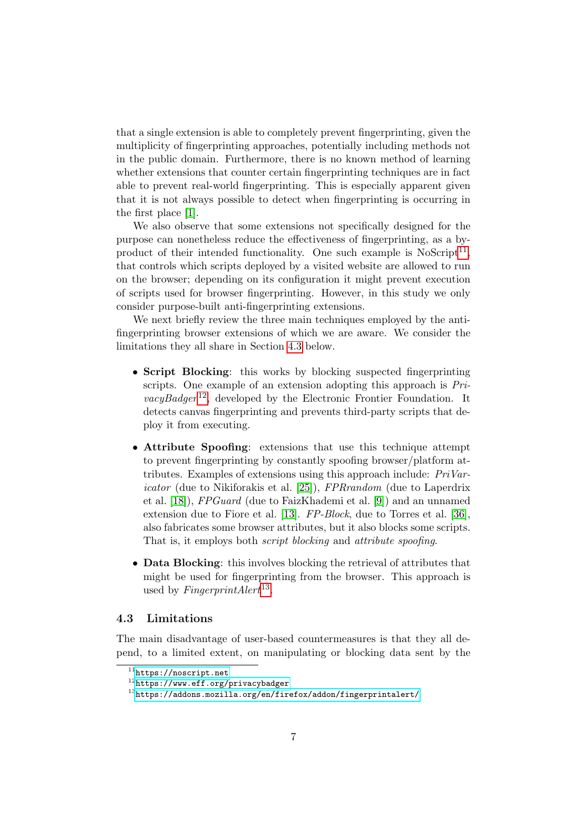that a single extension is able to completely prevent fingerprinting, given the multiplicity of fingerprinting approaches, potentially including methods not in the public domain. Furthermore, there is no known method of learning whether extensions that counter certain fingerprinting techniques are in fact able to prevent real-world fingerprinting. This is especially apparent given that it is not always possible to detect when fingerprinting is occurring in the first place [\[1\]](#page-18-4).

We also observe that some extensions not specifically designed for the purpose can nonetheless reduce the effectiveness of fingerprinting, as a byproduct of their intended functionality. One such example is  $N$ oScript<sup>[11](#page-0-0)</sup>, that controls which scripts deployed by a visited website are allowed to run on the browser; depending on its configuration it might prevent execution of scripts used for browser fingerprinting. However, in this study we only consider purpose-built anti-fingerprinting extensions.

We next briefly review the three main techniques employed by the antifingerprinting browser extensions of which we are aware. We consider the limitations they all share in Section [4.3](#page-6-0) below.

- Script Blocking: this works by blocking suspected fingerprinting scripts. One example of an extension adopting this approach is Pri- $vacyBadger^{12}$  $vacyBadger^{12}$  $vacyBadger^{12}$ , developed by the Electronic Frontier Foundation. It detects canvas fingerprinting and prevents third-party scripts that deploy it from executing.
- Attribute Spoofing: extensions that use this technique attempt to prevent fingerprinting by constantly spoofing browser/platform attributes. Examples of extensions using this approach include: PriVaricator (due to Nikiforakis et al. [\[25\]](#page-21-5)), FPRrandom (due to Laperdrix et al. [\[18\]](#page-20-5)), FPGuard (due to FaizKhademi et al. [\[9\]](#page-19-4)) and an unnamed extension due to Fiore et al. [\[13\]](#page-19-5). FP-Block, due to Torres et al. [\[36\]](#page-22-0), also fabricates some browser attributes, but it also blocks some scripts. That is, it employs both script blocking and attribute spoofing.
- Data Blocking: this involves blocking the retrieval of attributes that might be used for fingerprinting from the browser. This approach is used by  $FingerprintAlert^{13}$  $FingerprintAlert^{13}$  $FingerprintAlert^{13}$ .

#### <span id="page-6-0"></span>4.3 Limitations

The main disadvantage of user-based countermeasures is that they all depend, to a limited extent, on manipulating or blocking data sent by the

 $^{11}$ <https://noscript.net>

<sup>12</sup><https://www.eff.org/privacybadger>

 $^{13}$ <https://addons.mozilla.org/en/firefox/addon/fingerprintalert/>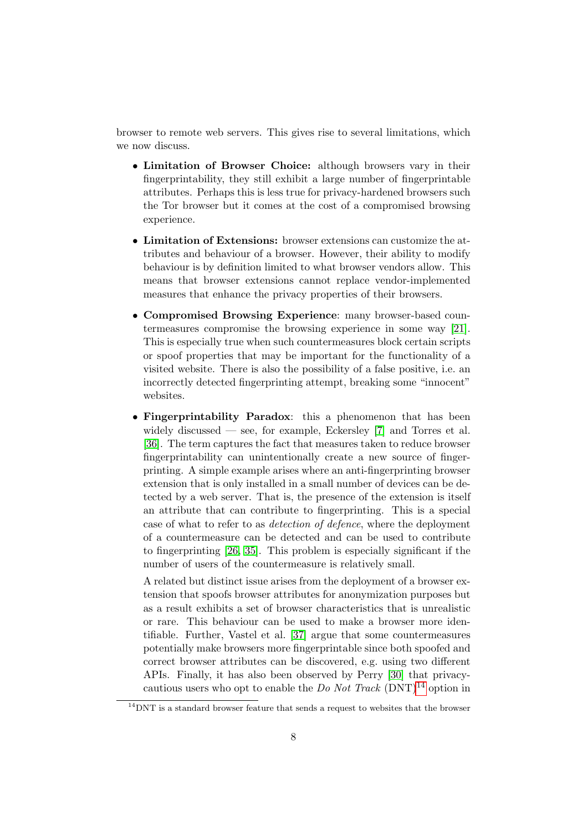browser to remote web servers. This gives rise to several limitations, which we now discuss.

- Limitation of Browser Choice: although browsers vary in their fingerprintability, they still exhibit a large number of fingerprintable attributes. Perhaps this is less true for privacy-hardened browsers such the Tor browser but it comes at the cost of a compromised browsing experience.
- Limitation of Extensions: browser extensions can customize the attributes and behaviour of a browser. However, their ability to modify behaviour is by definition limited to what browser vendors allow. This means that browser extensions cannot replace vendor-implemented measures that enhance the privacy properties of their browsers.
- Compromised Browsing Experience: many browser-based countermeasures compromise the browsing experience in some way [\[21\]](#page-20-2). This is especially true when such countermeasures block certain scripts or spoof properties that may be important for the functionality of a visited website. There is also the possibility of a false positive, i.e. an incorrectly detected fingerprinting attempt, breaking some "innocent" websites.
- Fingerprintability Paradox: this a phenomenon that has been widely discussed — see, for example, Eckersley  $[7]$  and Torres et al. [\[36\]](#page-22-0). The term captures the fact that measures taken to reduce browser fingerprintability can unintentionally create a new source of fingerprinting. A simple example arises where an anti-fingerprinting browser extension that is only installed in a small number of devices can be detected by a web server. That is, the presence of the extension is itself an attribute that can contribute to fingerprinting. This is a special case of what to refer to as detection of defence, where the deployment of a countermeasure can be detected and can be used to contribute to fingerprinting [\[26,](#page-21-2) [35\]](#page-22-1). This problem is especially significant if the number of users of the countermeasure is relatively small.

A related but distinct issue arises from the deployment of a browser extension that spoofs browser attributes for anonymization purposes but as a result exhibits a set of browser characteristics that is unrealistic or rare. This behaviour can be used to make a browser more identifiable. Further, Vastel et al. [\[37\]](#page-22-2) argue that some countermeasures potentially make browsers more fingerprintable since both spoofed and correct browser attributes can be discovered, e.g. using two different APIs. Finally, it has also been observed by Perry [\[30\]](#page-21-1) that privacycautious users who opt to enable the Do Not Track  $(DNT)^{14}$  $(DNT)^{14}$  $(DNT)^{14}$  option in

 $14$ DNT is a standard browser feature that sends a request to websites that the browser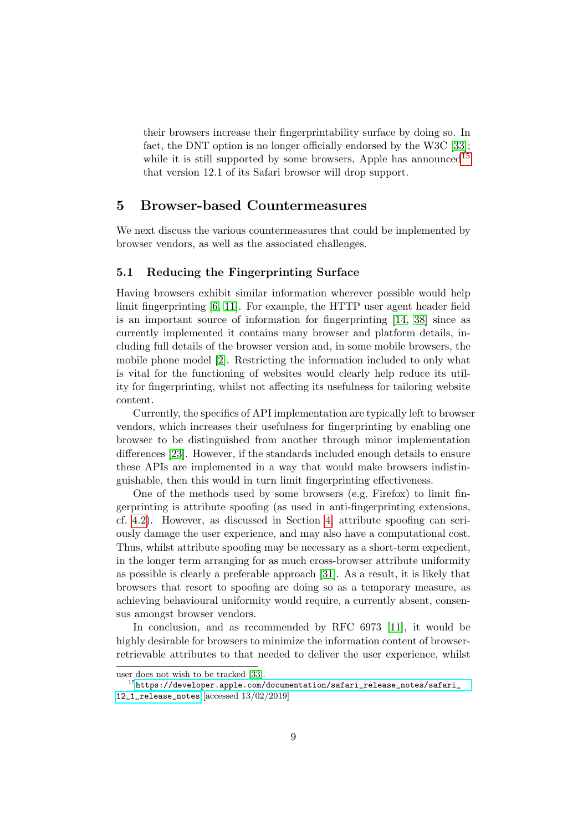their browsers increase their fingerprintability surface by doing so. In fact, the DNT option is no longer officially endorsed by the W3C [\[33\]](#page-22-3); while it is still supported by some browsers, Apple has announced<sup>[15](#page-0-0)</sup> that version 12.1 of its Safari browser will drop support.

## <span id="page-8-0"></span>5 Browser-based Countermeasures

We next discuss the various countermeasures that could be implemented by browser vendors, as well as the associated challenges.

#### <span id="page-8-1"></span>5.1 Reducing the Fingerprinting Surface

Having browsers exhibit similar information wherever possible would help limit fingerprinting [\[6,](#page-19-1) [11\]](#page-19-3). For example, the HTTP user agent header field is an important source of information for fingerprinting [\[14,](#page-19-6) [38\]](#page-22-4) since as currently implemented it contains many browser and platform details, including full details of the browser version and, in some mobile browsers, the mobile phone model [\[2\]](#page-18-2). Restricting the information included to only what is vital for the functioning of websites would clearly help reduce its utility for fingerprinting, whilst not affecting its usefulness for tailoring website content.

Currently, the specifics of API implementation are typically left to browser vendors, which increases their usefulness for fingerprinting by enabling one browser to be distinguished from another through minor implementation differences [\[23\]](#page-21-0). However, if the standards included enough details to ensure these APIs are implemented in a way that would make browsers indistinguishable, then this would in turn limit fingerprinting effectiveness.

One of the methods used by some browsers (e.g. Firefox) to limit fingerprinting is attribute spoofing (as used in anti-fingerprinting extensions, cf. [4.2\)](#page-5-0). However, as discussed in Section [4,](#page-4-0) attribute spoofing can seriously damage the user experience, and may also have a computational cost. Thus, whilst attribute spoofing may be necessary as a short-term expedient, in the longer term arranging for as much cross-browser attribute uniformity as possible is clearly a preferable approach [\[31\]](#page-21-3). As a result, it is likely that browsers that resort to spoofing are doing so as a temporary measure, as achieving behavioural uniformity would require, a currently absent, consensus amongst browser vendors.

In conclusion, and as recommended by RFC 6973 [\[11\]](#page-19-3), it would be highly desirable for browsers to minimize the information content of browserretrievable attributes to that needed to deliver the user experience, whilst

user does not wish to be tracked [\[33\]](#page-22-3).

 $^{15}$ [https://developer.apple.com/documentation/safari\\_release\\_notes/safari\\_](https://developer.apple.com/documentation/safari_release_notes/safari_12_1_release_notes)

[<sup>12</sup>\\_1\\_release\\_notes](https://developer.apple.com/documentation/safari_release_notes/safari_12_1_release_notes) [accessed 13/02/2019]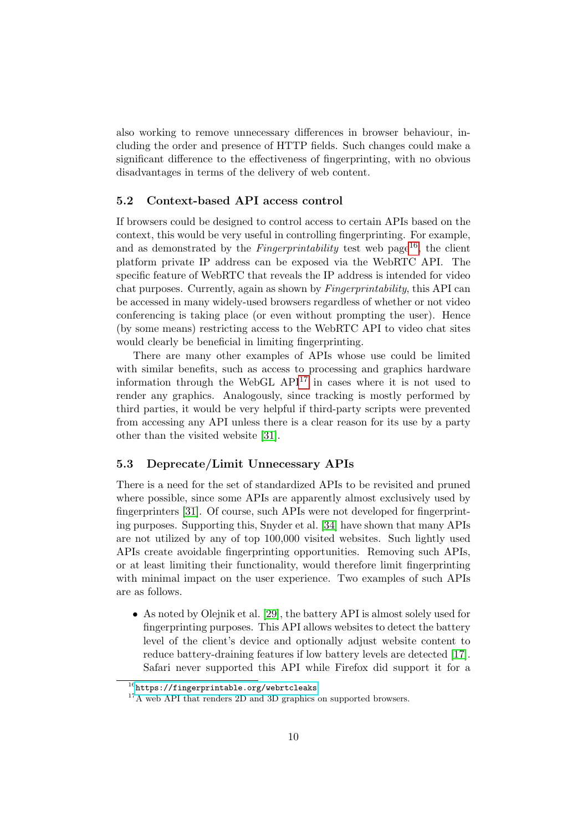also working to remove unnecessary differences in browser behaviour, including the order and presence of HTTP fields. Such changes could make a significant difference to the effectiveness of fingerprinting, with no obvious disadvantages in terms of the delivery of web content.

#### 5.2 Context-based API access control

If browsers could be designed to control access to certain APIs based on the context, this would be very useful in controlling fingerprinting. For example, and as demonstrated by the *Fingerprintability* test web page<sup>[16](#page-0-0)</sup>, the client platform private IP address can be exposed via the WebRTC API. The specific feature of WebRTC that reveals the IP address is intended for video chat purposes. Currently, again as shown by Fingerprintability, this API can be accessed in many widely-used browsers regardless of whether or not video conferencing is taking place (or even without prompting the user). Hence (by some means) restricting access to the WebRTC API to video chat sites would clearly be beneficial in limiting fingerprinting.

There are many other examples of APIs whose use could be limited with similar benefits, such as access to processing and graphics hardware information through the WebGL  $API<sup>17</sup>$  $API<sup>17</sup>$  $API<sup>17</sup>$  in cases where it is not used to render any graphics. Analogously, since tracking is mostly performed by third parties, it would be very helpful if third-party scripts were prevented from accessing any API unless there is a clear reason for its use by a party other than the visited website [\[31\]](#page-21-3).

#### 5.3 Deprecate/Limit Unnecessary APIs

There is a need for the set of standardized APIs to be revisited and pruned where possible, since some APIs are apparently almost exclusively used by fingerprinters [\[31\]](#page-21-3). Of course, such APIs were not developed for fingerprinting purposes. Supporting this, Snyder et al. [\[34\]](#page-22-5) have shown that many APIs are not utilized by any of top 100,000 visited websites. Such lightly used APIs create avoidable fingerprinting opportunities. Removing such APIs, or at least limiting their functionality, would therefore limit fingerprinting with minimal impact on the user experience. Two examples of such APIs are as follows.

• As noted by Olejnik et al. [\[29\]](#page-21-6), the battery API is almost solely used for fingerprinting purposes. This API allows websites to detect the battery level of the client's device and optionally adjust website content to reduce battery-draining features if low battery levels are detected [\[17\]](#page-20-6). Safari never supported this API while Firefox did support it for a

 $^{16}$ [https://fingerprintable.org/webrtcleaks]( https://fingerprintable.org/webrtcleaks)

<sup>&</sup>lt;sup>17</sup>A web API that renders 2D and 3D graphics on supported browsers.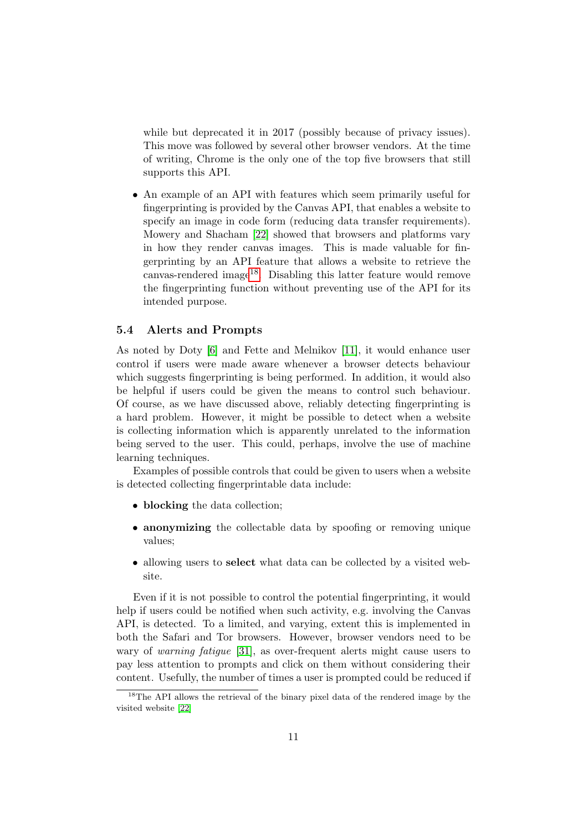while but deprecated it in 2017 (possibly because of privacy issues). This move was followed by several other browser vendors. At the time of writing, Chrome is the only one of the top five browsers that still supports this API.

• An example of an API with features which seem primarily useful for fingerprinting is provided by the Canvas API, that enables a website to specify an image in code form (reducing data transfer requirements). Mowery and Shacham [\[22\]](#page-20-3) showed that browsers and platforms vary in how they render canvas images. This is made valuable for fingerprinting by an API feature that allows a website to retrieve the canvas-rendered image<sup>[18](#page-0-0)</sup>. Disabling this latter feature would remove the fingerprinting function without preventing use of the API for its intended purpose.

#### 5.4 Alerts and Prompts

As noted by Doty [\[6\]](#page-19-1) and Fette and Melnikov [\[11\]](#page-19-3), it would enhance user control if users were made aware whenever a browser detects behaviour which suggests fingerprinting is being performed. In addition, it would also be helpful if users could be given the means to control such behaviour. Of course, as we have discussed above, reliably detecting fingerprinting is a hard problem. However, it might be possible to detect when a website is collecting information which is apparently unrelated to the information being served to the user. This could, perhaps, involve the use of machine learning techniques.

Examples of possible controls that could be given to users when a website is detected collecting fingerprintable data include:

- blocking the data collection;
- anonymizing the collectable data by spoofing or removing unique values;
- allowing users to **select** what data can be collected by a visited website.

Even if it is not possible to control the potential fingerprinting, it would help if users could be notified when such activity, e.g. involving the Canvas API, is detected. To a limited, and varying, extent this is implemented in both the Safari and Tor browsers. However, browser vendors need to be wary of *warning fatigue* [\[31\]](#page-21-3), as over-frequent alerts might cause users to pay less attention to prompts and click on them without considering their content. Usefully, the number of times a user is prompted could be reduced if

<sup>&</sup>lt;sup>18</sup>The API allows the retrieval of the binary pixel data of the rendered image by the visited website [\[22\]](#page-20-3)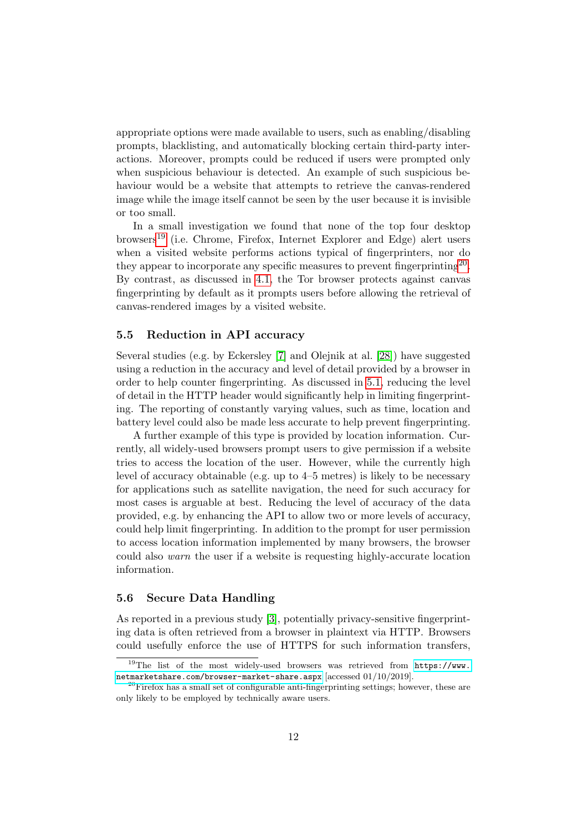appropriate options were made available to users, such as enabling/disabling prompts, blacklisting, and automatically blocking certain third-party interactions. Moreover, prompts could be reduced if users were prompted only when suspicious behaviour is detected. An example of such suspicious behaviour would be a website that attempts to retrieve the canvas-rendered image while the image itself cannot be seen by the user because it is invisible or too small.

In a small investigation we found that none of the top four desktop browsers<sup>[19](#page-0-0)</sup> (i.e. Chrome, Firefox, Internet Explorer and Edge) alert users when a visited website performs actions typical of fingerprinters, nor do they appear to incorporate any specific measures to prevent fingerprinting<sup>[20](#page-0-0)</sup>. By contrast, as discussed in [4.1,](#page-4-1) the Tor browser protects against canvas fingerprinting by default as it prompts users before allowing the retrieval of canvas-rendered images by a visited website.

#### 5.5 Reduction in API accuracy

Several studies (e.g. by Eckersley [\[7\]](#page-19-0) and Olejnik at al. [\[28\]](#page-21-7)) have suggested using a reduction in the accuracy and level of detail provided by a browser in order to help counter fingerprinting. As discussed in [5.1,](#page-8-1) reducing the level of detail in the HTTP header would significantly help in limiting fingerprinting. The reporting of constantly varying values, such as time, location and battery level could also be made less accurate to help prevent fingerprinting.

A further example of this type is provided by location information. Currently, all widely-used browsers prompt users to give permission if a website tries to access the location of the user. However, while the currently high level of accuracy obtainable (e.g. up to 4–5 metres) is likely to be necessary for applications such as satellite navigation, the need for such accuracy for most cases is arguable at best. Reducing the level of accuracy of the data provided, e.g. by enhancing the API to allow two or more levels of accuracy, could help limit fingerprinting. In addition to the prompt for user permission to access location information implemented by many browsers, the browser could also warn the user if a website is requesting highly-accurate location information.

#### <span id="page-11-0"></span>5.6 Secure Data Handling

As reported in a previous study [\[3\]](#page-18-0), potentially privacy-sensitive fingerprinting data is often retrieved from a browser in plaintext via HTTP. Browsers could usefully enforce the use of HTTPS for such information transfers,

<sup>&</sup>lt;sup>19</sup>The list of the most widely-used browsers was retrieved from  $https://www.$ [netmarketshare.com/browser-market-share.aspx](https://www.netmarketshare.com/browser-market-share.aspx) [accessed 01/10/2019].

 $20$ Firefox has a small set of configurable anti-fingerprinting settings; however, these are only likely to be employed by technically aware users.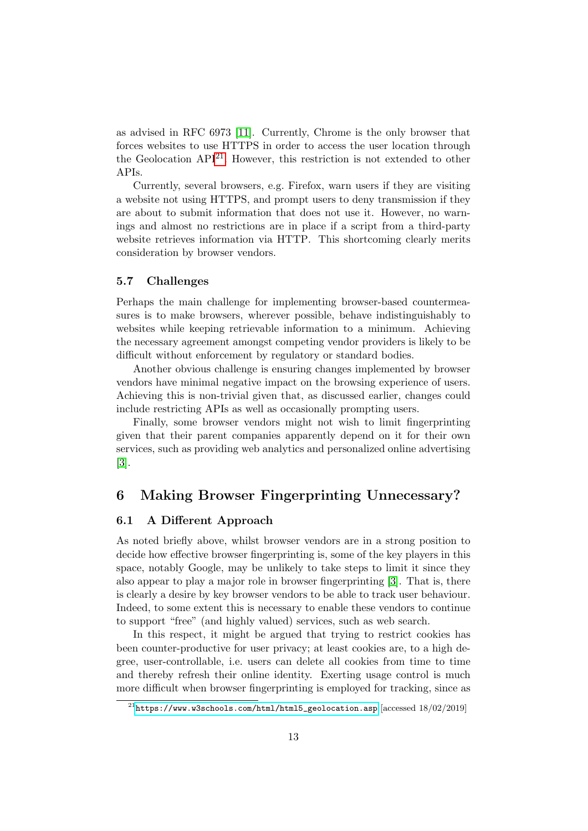as advised in RFC 6973 [\[11\]](#page-19-3). Currently, Chrome is the only browser that forces websites to use HTTPS in order to access the user location through the Geolocation  $API^{21}$  $API^{21}$  $API^{21}$ . However, this restriction is not extended to other APIs.

Currently, several browsers, e.g. Firefox, warn users if they are visiting a website not using HTTPS, and prompt users to deny transmission if they are about to submit information that does not use it. However, no warnings and almost no restrictions are in place if a script from a third-party website retrieves information via HTTP. This shortcoming clearly merits consideration by browser vendors.

#### <span id="page-12-2"></span>5.7 Challenges

Perhaps the main challenge for implementing browser-based countermeasures is to make browsers, wherever possible, behave indistinguishably to websites while keeping retrievable information to a minimum. Achieving the necessary agreement amongst competing vendor providers is likely to be difficult without enforcement by regulatory or standard bodies.

Another obvious challenge is ensuring changes implemented by browser vendors have minimal negative impact on the browsing experience of users. Achieving this is non-trivial given that, as discussed earlier, changes could include restricting APIs as well as occasionally prompting users.

Finally, some browser vendors might not wish to limit fingerprinting given that their parent companies apparently depend on it for their own services, such as providing web analytics and personalized online advertising [\[3\]](#page-18-0).

# <span id="page-12-0"></span>6 Making Browser Fingerprinting Unnecessary?

#### <span id="page-12-1"></span>6.1 A Different Approach

As noted briefly above, whilst browser vendors are in a strong position to decide how effective browser fingerprinting is, some of the key players in this space, notably Google, may be unlikely to take steps to limit it since they also appear to play a major role in browser fingerprinting [\[3\]](#page-18-0). That is, there is clearly a desire by key browser vendors to be able to track user behaviour. Indeed, to some extent this is necessary to enable these vendors to continue to support "free" (and highly valued) services, such as web search.

In this respect, it might be argued that trying to restrict cookies has been counter-productive for user privacy; at least cookies are, to a high degree, user-controllable, i.e. users can delete all cookies from time to time and thereby refresh their online identity. Exerting usage control is much more difficult when browser fingerprinting is employed for tracking, since as

 $^{21}$ [https://www.w3schools.com/html/html5\\_geolocation.asp](https://www.w3schools.com/html/html5_geolocation.asp) [accessed 18/02/2019]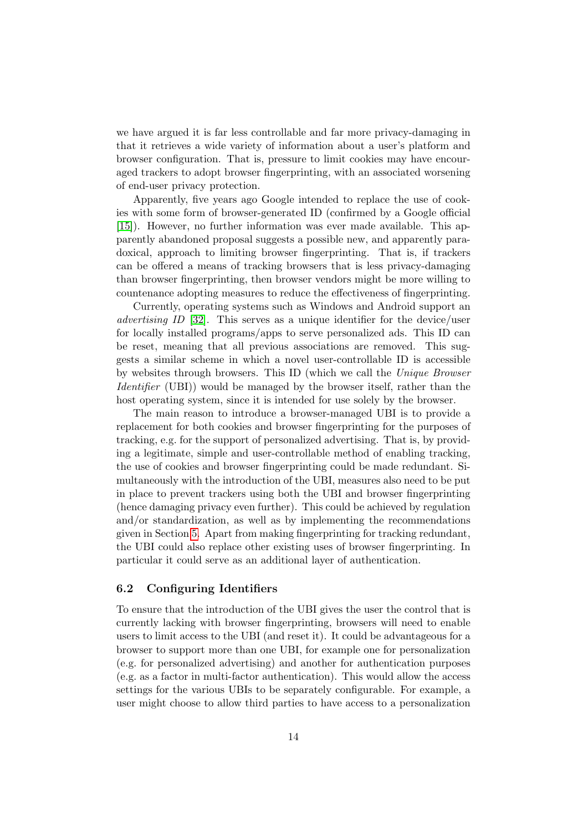we have argued it is far less controllable and far more privacy-damaging in that it retrieves a wide variety of information about a user's platform and browser configuration. That is, pressure to limit cookies may have encouraged trackers to adopt browser fingerprinting, with an associated worsening of end-user privacy protection.

Apparently, five years ago Google intended to replace the use of cookies with some form of browser-generated ID (confirmed by a Google official [\[15\]](#page-20-7)). However, no further information was ever made available. This apparently abandoned proposal suggests a possible new, and apparently paradoxical, approach to limiting browser fingerprinting. That is, if trackers can be offered a means of tracking browsers that is less privacy-damaging than browser fingerprinting, then browser vendors might be more willing to countenance adopting measures to reduce the effectiveness of fingerprinting.

Currently, operating systems such as Windows and Android support an advertising ID [\[32\]](#page-22-6). This serves as a unique identifier for the device/user for locally installed programs/apps to serve personalized ads. This ID can be reset, meaning that all previous associations are removed. This suggests a similar scheme in which a novel user-controllable ID is accessible by websites through browsers. This ID (which we call the Unique Browser Identifier (UBI)) would be managed by the browser itself, rather than the host operating system, since it is intended for use solely by the browser.

The main reason to introduce a browser-managed UBI is to provide a replacement for both cookies and browser fingerprinting for the purposes of tracking, e.g. for the support of personalized advertising. That is, by providing a legitimate, simple and user-controllable method of enabling tracking, the use of cookies and browser fingerprinting could be made redundant. Simultaneously with the introduction of the UBI, measures also need to be put in place to prevent trackers using both the UBI and browser fingerprinting (hence damaging privacy even further). This could be achieved by regulation and/or standardization, as well as by implementing the recommendations given in Section [5.](#page-8-0) Apart from making fingerprinting for tracking redundant, the UBI could also replace other existing uses of browser fingerprinting. In particular it could serve as an additional layer of authentication.

### 6.2 Configuring Identifiers

To ensure that the introduction of the UBI gives the user the control that is currently lacking with browser fingerprinting, browsers will need to enable users to limit access to the UBI (and reset it). It could be advantageous for a browser to support more than one UBI, for example one for personalization (e.g. for personalized advertising) and another for authentication purposes (e.g. as a factor in multi-factor authentication). This would allow the access settings for the various UBIs to be separately configurable. For example, a user might choose to allow third parties to have access to a personalization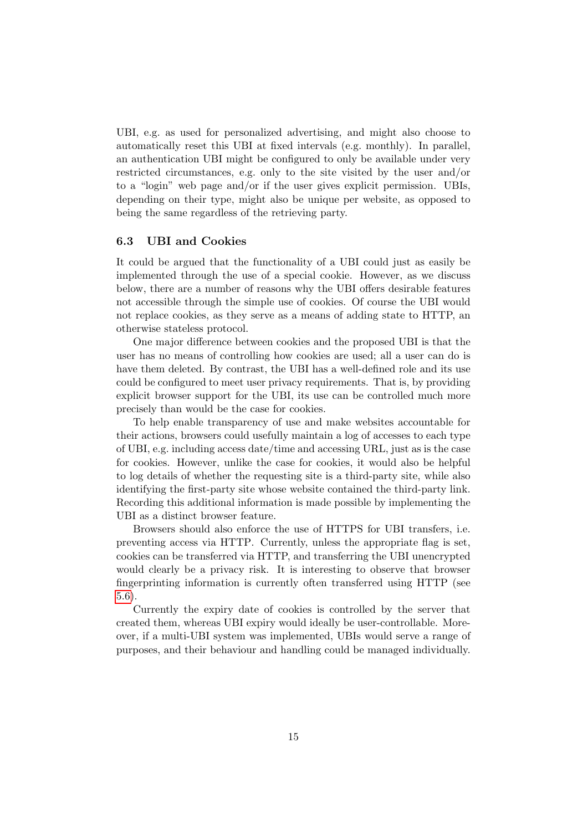UBI, e.g. as used for personalized advertising, and might also choose to automatically reset this UBI at fixed intervals (e.g. monthly). In parallel, an authentication UBI might be configured to only be available under very restricted circumstances, e.g. only to the site visited by the user and/or to a "login" web page and/or if the user gives explicit permission. UBIs, depending on their type, might also be unique per website, as opposed to being the same regardless of the retrieving party.

#### <span id="page-14-0"></span>6.3 UBI and Cookies

It could be argued that the functionality of a UBI could just as easily be implemented through the use of a special cookie. However, as we discuss below, there are a number of reasons why the UBI offers desirable features not accessible through the simple use of cookies. Of course the UBI would not replace cookies, as they serve as a means of adding state to HTTP, an otherwise stateless protocol.

One major difference between cookies and the proposed UBI is that the user has no means of controlling how cookies are used; all a user can do is have them deleted. By contrast, the UBI has a well-defined role and its use could be configured to meet user privacy requirements. That is, by providing explicit browser support for the UBI, its use can be controlled much more precisely than would be the case for cookies.

To help enable transparency of use and make websites accountable for their actions, browsers could usefully maintain a log of accesses to each type of UBI, e.g. including access date/time and accessing URL, just as is the case for cookies. However, unlike the case for cookies, it would also be helpful to log details of whether the requesting site is a third-party site, while also identifying the first-party site whose website contained the third-party link. Recording this additional information is made possible by implementing the UBI as a distinct browser feature.

Browsers should also enforce the use of HTTPS for UBI transfers, i.e. preventing access via HTTP. Currently, unless the appropriate flag is set, cookies can be transferred via HTTP, and transferring the UBI unencrypted would clearly be a privacy risk. It is interesting to observe that browser fingerprinting information is currently often transferred using HTTP (see [5.6\)](#page-11-0).

Currently the expiry date of cookies is controlled by the server that created them, whereas UBI expiry would ideally be user-controllable. Moreover, if a multi-UBI system was implemented, UBIs would serve a range of purposes, and their behaviour and handling could be managed individually.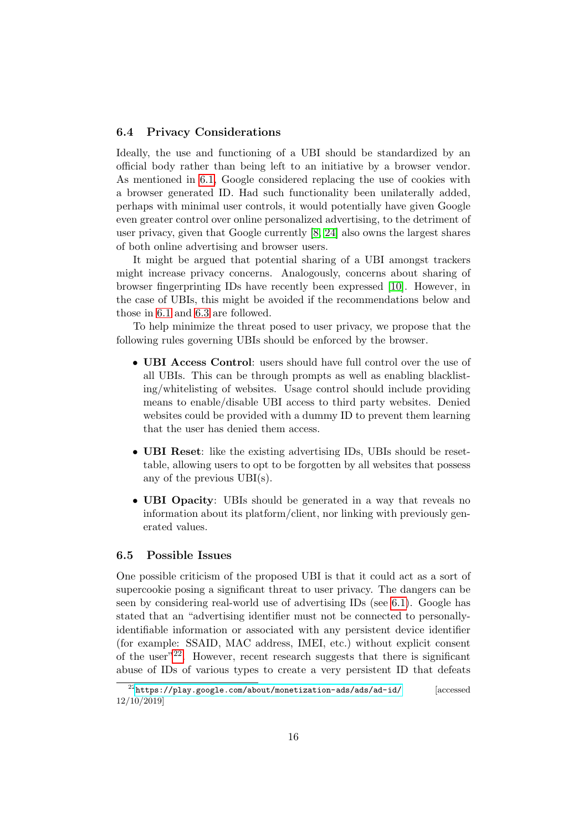#### 6.4 Privacy Considerations

Ideally, the use and functioning of a UBI should be standardized by an official body rather than being left to an initiative by a browser vendor. As mentioned in [6.1,](#page-12-1) Google considered replacing the use of cookies with a browser generated ID. Had such functionality been unilaterally added, perhaps with minimal user controls, it would potentially have given Google even greater control over online personalized advertising, to the detriment of user privacy, given that Google currently [\[8,](#page-19-7) [24\]](#page-21-8) also owns the largest shares of both online advertising and browser users.

It might be argued that potential sharing of a UBI amongst trackers might increase privacy concerns. Analogously, concerns about sharing of browser fingerprinting IDs have recently been expressed [\[10\]](#page-19-8). However, in the case of UBIs, this might be avoided if the recommendations below and those in [6.1](#page-12-1) and [6.3](#page-14-0) are followed.

To help minimize the threat posed to user privacy, we propose that the following rules governing UBIs should be enforced by the browser.

- UBI Access Control: users should have full control over the use of all UBIs. This can be through prompts as well as enabling blacklisting/whitelisting of websites. Usage control should include providing means to enable/disable UBI access to third party websites. Denied websites could be provided with a dummy ID to prevent them learning that the user has denied them access.
- UBI Reset: like the existing advertising IDs, UBIs should be resettable, allowing users to opt to be forgotten by all websites that possess any of the previous UBI(s).
- UBI Opacity: UBIs should be generated in a way that reveals no information about its platform/client, nor linking with previously generated values.

#### <span id="page-15-0"></span>6.5 Possible Issues

One possible criticism of the proposed UBI is that it could act as a sort of supercookie posing a significant threat to user privacy. The dangers can be seen by considering real-world use of advertising IDs (see [6.1\)](#page-12-1). Google has stated that an "advertising identifier must not be connected to personallyidentifiable information or associated with any persistent device identifier (for example: SSAID, MAC address, IMEI, etc.) without explicit consent of the user"<sup>[22](#page-0-0)</sup>. However, recent research suggests that there is significant abuse of IDs of various types to create a very persistent ID that defeats

 $^{22}$ <https://play.google.com/about/monetization-ads/ads/ad-id/> [accessed] 12/10/2019]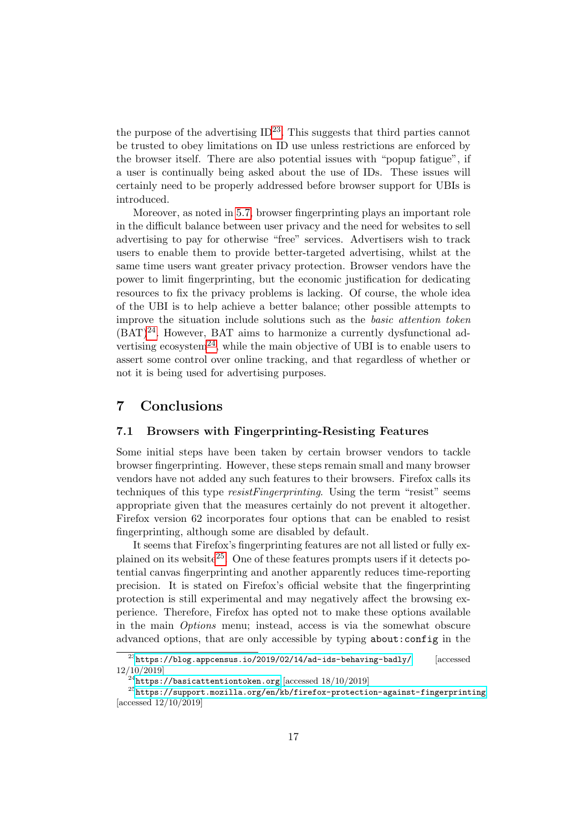the purpose of the advertising  $ID^{23}$  $ID^{23}$  $ID^{23}$ . This suggests that third parties cannot be trusted to obey limitations on ID use unless restrictions are enforced by the browser itself. There are also potential issues with "popup fatigue", if a user is continually being asked about the use of IDs. These issues will certainly need to be properly addressed before browser support for UBIs is introduced.

Moreover, as noted in [5.7,](#page-12-2) browser fingerprinting plays an important role in the difficult balance between user privacy and the need for websites to sell advertising to pay for otherwise "free" services. Advertisers wish to track users to enable them to provide better-targeted advertising, whilst at the same time users want greater privacy protection. Browser vendors have the power to limit fingerprinting, but the economic justification for dedicating resources to fix the privacy problems is lacking. Of course, the whole idea of the UBI is to help achieve a better balance; other possible attempts to improve the situation include solutions such as the basic attention token  $(BAT)^{24}$  $(BAT)^{24}$  $(BAT)^{24}$ . However, BAT aims to harmonize a currently dysfunctional ad-vertising ecosystem<sup>[24](#page-0-0)</sup>, while the main objective of UBI is to enable users to assert some control over online tracking, and that regardless of whether or not it is being used for advertising purposes.

# <span id="page-16-0"></span>7 Conclusions

#### 7.1 Browsers with Fingerprinting-Resisting Features

Some initial steps have been taken by certain browser vendors to tackle browser fingerprinting. However, these steps remain small and many browser vendors have not added any such features to their browsers. Firefox calls its techniques of this type *resistFingerprinting*. Using the term "resist" seems appropriate given that the measures certainly do not prevent it altogether. Firefox version 62 incorporates four options that can be enabled to resist fingerprinting, although some are disabled by default.

It seems that Firefox's fingerprinting features are not all listed or fully ex-plained on its website<sup>[25](#page-0-0)</sup>. One of these features prompts users if it detects potential canvas fingerprinting and another apparently reduces time-reporting precision. It is stated on Firefox's official website that the fingerprinting protection is still experimental and may negatively affect the browsing experience. Therefore, Firefox has opted not to make these options available in the main Options menu; instead, access is via the somewhat obscure advanced options, that are only accessible by typing about:config in the

 $^{23}$ <https://blog.appcensus.io/2019/02/14/ad-ids-behaving-badly/> [accessed 12/10/2019]

 $^{24}$ <https://basicattentiontoken.org> [accessed  $18/10/2019$ ]

<sup>25</sup><https://support.mozilla.org/en/kb/firefox-protection-against-fingerprinting> [accessed 12/10/2019]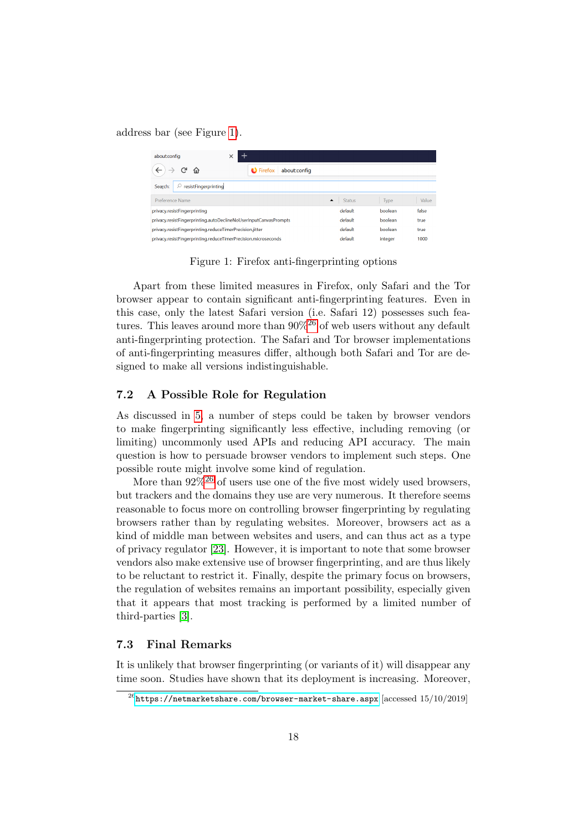address bar (see Figure [1\)](#page-17-0).

| about:config                                                     | $\times$                          |                                   |         |       |
|------------------------------------------------------------------|-----------------------------------|-----------------------------------|---------|-------|
| 奋                                                                | $\bigcup$ Firefox<br>about:config |                                   |         |       |
| resistFingerprinting<br>Search:                                  |                                   |                                   |         |       |
| Preference Name                                                  |                                   | <b>Status</b><br>$\blacktriangle$ | Type    | Value |
| privacy.resistFingerprinting                                     |                                   | default                           | boolean | false |
| privacy.resistFingerprinting.autoDeclineNoUserInputCanvasPrompts |                                   | default                           | boolean | true  |
| privacy.resistFingerprinting.reduceTimerPrecision.jitter         |                                   | default                           | boolean | true  |
| privacy.resistFingerprinting.reduceTimerPrecision.microseconds   |                                   | default                           | integer | 1000  |

<span id="page-17-0"></span>Figure 1: Firefox anti-fingerprinting options

Apart from these limited measures in Firefox, only Safari and the Tor browser appear to contain significant anti-fingerprinting features. Even in this case, only the latest Safari version (i.e. Safari 12) possesses such features. This leaves around more than  $90\%^{26}$  $90\%^{26}$  $90\%^{26}$  of web users without any default anti-fingerprinting protection. The Safari and Tor browser implementations of anti-fingerprinting measures differ, although both Safari and Tor are designed to make all versions indistinguishable.

### 7.2 A Possible Role for Regulation

As discussed in [5,](#page-8-0) a number of steps could be taken by browser vendors to make fingerprinting significantly less effective, including removing (or limiting) uncommonly used APIs and reducing API accuracy. The main question is how to persuade browser vendors to implement such steps. One possible route might involve some kind of regulation.

More than  $92\%$ <sup>[26](#page-0-0)</sup> of users use one of the five most widely used browsers, but trackers and the domains they use are very numerous. It therefore seems reasonable to focus more on controlling browser fingerprinting by regulating browsers rather than by regulating websites. Moreover, browsers act as a kind of middle man between websites and users, and can thus act as a type of privacy regulator [\[23\]](#page-21-0). However, it is important to note that some browser vendors also make extensive use of browser fingerprinting, and are thus likely to be reluctant to restrict it. Finally, despite the primary focus on browsers, the regulation of websites remains an important possibility, especially given that it appears that most tracking is performed by a limited number of third-parties [\[3\]](#page-18-0).

#### 7.3 Final Remarks

It is unlikely that browser fingerprinting (or variants of it) will disappear any time soon. Studies have shown that its deployment is increasing. Moreover,

 $^{26}$ <https://netmarketshare.com/browser-market-share.aspx> [accessed 15/10/2019]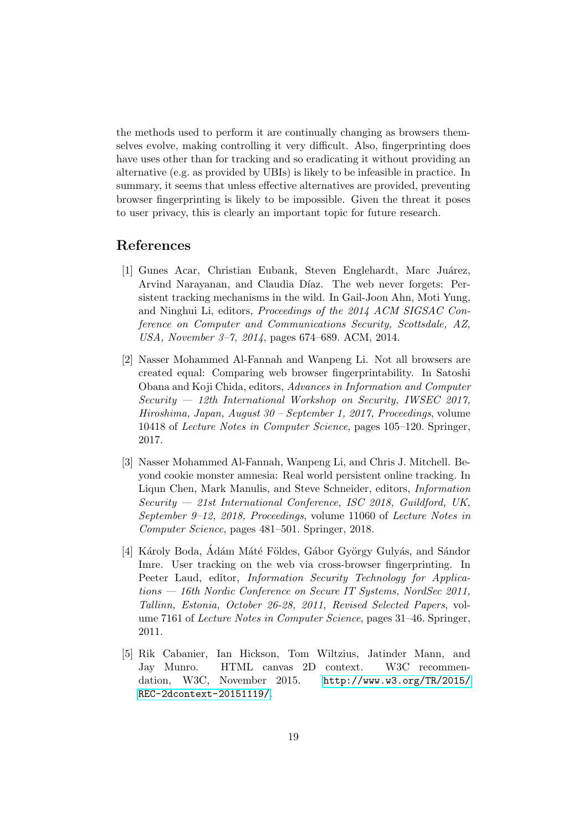the methods used to perform it are continually changing as browsers themselves evolve, making controlling it very difficult. Also, fingerprinting does have uses other than for tracking and so eradicating it without providing an alternative (e.g. as provided by UBIs) is likely to be infeasible in practice. In summary, it seems that unless effective alternatives are provided, preventing browser fingerprinting is likely to be impossible. Given the threat it poses to user privacy, this is clearly an important topic for future research.

## References

- <span id="page-18-4"></span>[1] Gunes Acar, Christian Eubank, Steven Englehardt, Marc Juárez, Arvind Narayanan, and Claudia Díaz. The web never forgets: Persistent tracking mechanisms in the wild. In Gail-Joon Ahn, Moti Yung, and Ninghui Li, editors, Proceedings of the 2014 ACM SIGSAC Conference on Computer and Communications Security, Scottsdale, AZ, USA, November 3–7, 2014, pages 674–689. ACM, 2014.
- <span id="page-18-2"></span>[2] Nasser Mohammed Al-Fannah and Wanpeng Li. Not all browsers are created equal: Comparing web browser fingerprintability. In Satoshi Obana and Koji Chida, editors, Advances in Information and Computer Security — 12th International Workshop on Security, IWSEC 2017, Hiroshima, Japan, August 30 – September 1, 2017, Proceedings, volume 10418 of Lecture Notes in Computer Science, pages 105–120. Springer, 2017.
- <span id="page-18-0"></span>[3] Nasser Mohammed Al-Fannah, Wanpeng Li, and Chris J. Mitchell. Beyond cookie monster amnesia: Real world persistent online tracking. In Liqun Chen, Mark Manulis, and Steve Schneider, editors, Information Security — 21st International Conference, ISC 2018, Guildford, UK, September 9–12, 2018, Proceedings, volume 11060 of Lecture Notes in Computer Science, pages 481–501. Springer, 2018.
- <span id="page-18-3"></span>[4] Károly Boda, Adám Máté Földes, Gábor György Gulyás, and Sándor Imre. User tracking on the web via cross-browser fingerprinting. In Peeter Laud, editor, Information Security Technology for Applications — 16th Nordic Conference on Secure IT Systems, NordSec 2011, Tallinn, Estonia, October 26-28, 2011, Revised Selected Papers, volume 7161 of Lecture Notes in Computer Science, pages 31–46. Springer, 2011.
- <span id="page-18-1"></span>[5] Rik Cabanier, Ian Hickson, Tom Wiltzius, Jatinder Mann, and Jay Munro. HTML canvas 2D context. W3C recommendation, W3C, November 2015. [http://www.w3.org/TR/2015/](http://www.w3.org/TR/2015/REC-2dcontext-20151119/) [REC-2dcontext-20151119/](http://www.w3.org/TR/2015/REC-2dcontext-20151119/).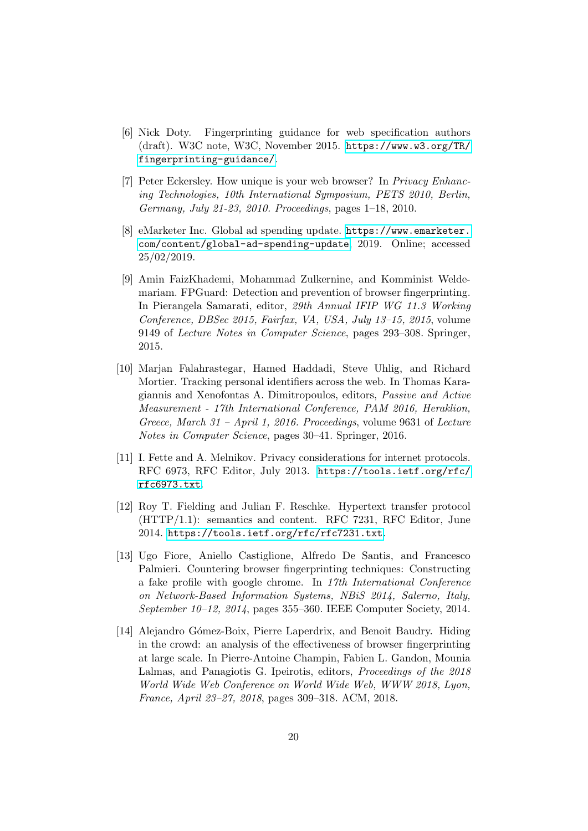- <span id="page-19-1"></span>[6] Nick Doty. Fingerprinting guidance for web specification authors (draft). W3C note, W3C, November 2015. [https://www.w3.org/TR/](https://www.w3.org/TR/fingerprinting-guidance/) [fingerprinting-guidance/](https://www.w3.org/TR/fingerprinting-guidance/).
- <span id="page-19-0"></span>[7] Peter Eckersley. How unique is your web browser? In Privacy Enhancing Technologies, 10th International Symposium, PETS 2010, Berlin, Germany, July 21-23, 2010. Proceedings, pages 1–18, 2010.
- <span id="page-19-7"></span>[8] eMarketer Inc. Global ad spending update. [https://www.emarketer.](https://www.emarketer.com/content/global-ad-spending-update) [com/content/global-ad-spending-update](https://www.emarketer.com/content/global-ad-spending-update), 2019. Online; accessed 25/02/2019.
- <span id="page-19-4"></span>[9] Amin FaizKhademi, Mohammad Zulkernine, and Komminist Weldemariam. FPGuard: Detection and prevention of browser fingerprinting. In Pierangela Samarati, editor, 29th Annual IFIP WG 11.3 Working Conference, DBSec 2015, Fairfax, VA, USA, July 13–15, 2015, volume 9149 of Lecture Notes in Computer Science, pages 293–308. Springer, 2015.
- <span id="page-19-8"></span>[10] Marjan Falahrastegar, Hamed Haddadi, Steve Uhlig, and Richard Mortier. Tracking personal identifiers across the web. In Thomas Karagiannis and Xenofontas A. Dimitropoulos, editors, Passive and Active Measurement - 17th International Conference, PAM 2016, Heraklion, Greece, March 31 – April 1, 2016. Proceedings, volume 9631 of Lecture Notes in Computer Science, pages 30–41. Springer, 2016.
- <span id="page-19-3"></span>[11] I. Fette and A. Melnikov. Privacy considerations for internet protocols. RFC 6973, RFC Editor, July 2013. [https://tools.ietf.org/rfc/](https://tools.ietf.org/rfc/rfc6973.txt) [rfc6973.txt](https://tools.ietf.org/rfc/rfc6973.txt).
- <span id="page-19-2"></span>[12] Roy T. Fielding and Julian F. Reschke. Hypertext transfer protocol (HTTP/1.1): semantics and content. RFC 7231, RFC Editor, June 2014. <https://tools.ietf.org/rfc/rfc7231.txt>.
- <span id="page-19-5"></span>[13] Ugo Fiore, Aniello Castiglione, Alfredo De Santis, and Francesco Palmieri. Countering browser fingerprinting techniques: Constructing a fake profile with google chrome. In 17th International Conference on Network-Based Information Systems, NBiS 2014, Salerno, Italy, September 10–12, 2014, pages 355–360. IEEE Computer Society, 2014.
- <span id="page-19-6"></span>[14] Alejandro Gómez-Boix, Pierre Laperdrix, and Benoit Baudry. Hiding in the crowd: an analysis of the effectiveness of browser fingerprinting at large scale. In Pierre-Antoine Champin, Fabien L. Gandon, Mounia Lalmas, and Panagiotis G. Ipeirotis, editors, Proceedings of the 2018 World Wide Web Conference on World Wide Web, WWW 2018, Lyon, France, April 23–27, 2018, pages 309–318. ACM, 2018.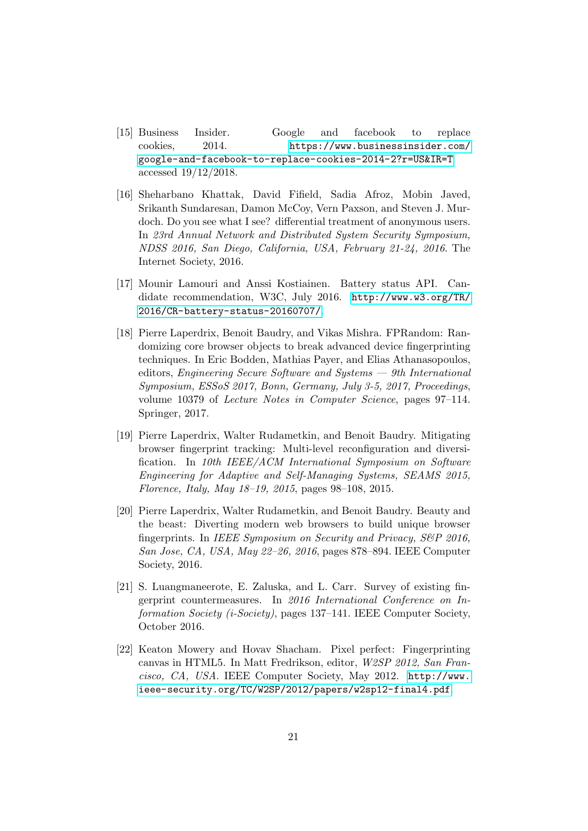- <span id="page-20-7"></span>[15] Business Insider. Google and facebook to replace cookies, 2014. [https://www.businessinsider.com/](https://www.businessinsider.com/google-and-facebook-to-replace-cookies-2014-2?r=US&IR=T) [google-and-facebook-to-replace-cookies-2014-2?r=US&IR=T](https://www.businessinsider.com/google-and-facebook-to-replace-cookies-2014-2?r=US&IR=T) accessed 19/12/2018.
- <span id="page-20-4"></span>[16] Sheharbano Khattak, David Fifield, Sadia Afroz, Mobin Javed, Srikanth Sundaresan, Damon McCoy, Vern Paxson, and Steven J. Murdoch. Do you see what I see? differential treatment of anonymous users. In 23rd Annual Network and Distributed System Security Symposium, NDSS 2016, San Diego, California, USA, February 21-24, 2016. The Internet Society, 2016.
- <span id="page-20-6"></span>[17] Mounir Lamouri and Anssi Kostiainen. Battery status API. Candidate recommendation, W3C, July 2016. [http://www.w3.org/TR/](http://www.w3.org/TR/2016/CR-battery-status-20160707/) [2016/CR-battery-status-20160707/](http://www.w3.org/TR/2016/CR-battery-status-20160707/).
- <span id="page-20-5"></span>[18] Pierre Laperdrix, Benoit Baudry, and Vikas Mishra. FPRandom: Randomizing core browser objects to break advanced device fingerprinting techniques. In Eric Bodden, Mathias Payer, and Elias Athanasopoulos, editors, Engineering Secure Software and Systems — 9th International Symposium, ESSoS 2017, Bonn, Germany, July 3-5, 2017, Proceedings, volume 10379 of Lecture Notes in Computer Science, pages 97–114. Springer, 2017.
- <span id="page-20-1"></span>[19] Pierre Laperdrix, Walter Rudametkin, and Benoit Baudry. Mitigating browser fingerprint tracking: Multi-level reconfiguration and diversification. In 10th IEEE/ACM International Symposium on Software Engineering for Adaptive and Self-Managing Systems, SEAMS 2015, Florence, Italy, May 18–19, 2015, pages 98–108, 2015.
- <span id="page-20-0"></span>[20] Pierre Laperdrix, Walter Rudametkin, and Benoit Baudry. Beauty and the beast: Diverting modern web browsers to build unique browser fingerprints. In IEEE Symposium on Security and Privacy, S&P 2016, San Jose, CA, USA, May 22–26, 2016, pages 878–894. IEEE Computer Society, 2016.
- <span id="page-20-2"></span>[21] S. Luangmaneerote, E. Zaluska, and L. Carr. Survey of existing fingerprint countermeasures. In 2016 International Conference on Information Society (i-Society), pages 137–141. IEEE Computer Society, October 2016.
- <span id="page-20-3"></span>[22] Keaton Mowery and Hovav Shacham. Pixel perfect: Fingerprinting canvas in HTML5. In Matt Fredrikson, editor, W2SP 2012, San Francisco, CA, USA. IEEE Computer Society, May 2012. [http://www.](http://www.ieee-security.org/TC/W2SP/2012/papers/w2sp12-final4.pdf) [ieee-security.org/TC/W2SP/2012/papers/w2sp12-final4.pdf](http://www.ieee-security.org/TC/W2SP/2012/papers/w2sp12-final4.pdf).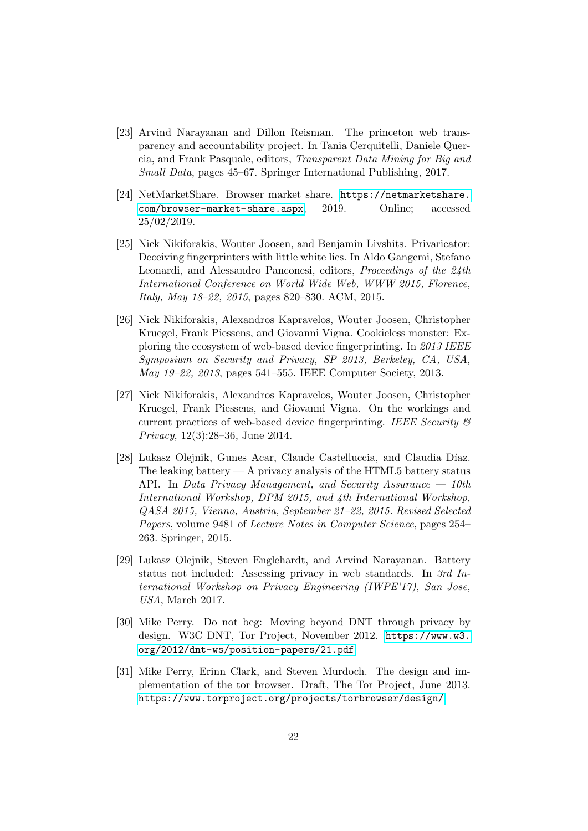- <span id="page-21-0"></span>[23] Arvind Narayanan and Dillon Reisman. The princeton web transparency and accountability project. In Tania Cerquitelli, Daniele Quercia, and Frank Pasquale, editors, Transparent Data Mining for Big and Small Data, pages 45–67. Springer International Publishing, 2017.
- <span id="page-21-8"></span>[24] NetMarketShare. Browser market share. [https://netmarketshare.](https://netmarketshare.com/browser-market-share.aspx) [com/browser-market-share.aspx](https://netmarketshare.com/browser-market-share.aspx), 2019. Online; accessed 25/02/2019.
- <span id="page-21-5"></span>[25] Nick Nikiforakis, Wouter Joosen, and Benjamin Livshits. Privaricator: Deceiving fingerprinters with little white lies. In Aldo Gangemi, Stefano Leonardi, and Alessandro Panconesi, editors, Proceedings of the 24th International Conference on World Wide Web, WWW 2015, Florence, Italy, May 18–22, 2015, pages 820–830. ACM, 2015.
- <span id="page-21-2"></span>[26] Nick Nikiforakis, Alexandros Kapravelos, Wouter Joosen, Christopher Kruegel, Frank Piessens, and Giovanni Vigna. Cookieless monster: Exploring the ecosystem of web-based device fingerprinting. In 2013 IEEE Symposium on Security and Privacy, SP 2013, Berkeley, CA, USA, May 19–22, 2013, pages 541–555. IEEE Computer Society, 2013.
- <span id="page-21-4"></span>[27] Nick Nikiforakis, Alexandros Kapravelos, Wouter Joosen, Christopher Kruegel, Frank Piessens, and Giovanni Vigna. On the workings and current practices of web-based device fingerprinting. IEEE Security  $\mathcal C$ Privacy, 12(3):28–36, June 2014.
- <span id="page-21-7"></span>[28] Lukasz Olejnik, Gunes Acar, Claude Castelluccia, and Claudia Díaz. The leaking battery  $- A$  privacy analysis of the HTML5 battery status API. In Data Privacy Management, and Security Assurance — 10th International Workshop, DPM 2015, and 4th International Workshop, QASA 2015, Vienna, Austria, September 21–22, 2015. Revised Selected Papers, volume 9481 of Lecture Notes in Computer Science, pages 254– 263. Springer, 2015.
- <span id="page-21-6"></span>[29] Lukasz Olejnik, Steven Englehardt, and Arvind Narayanan. Battery status not included: Assessing privacy in web standards. In 3rd International Workshop on Privacy Engineering (IWPE'17), San Jose, USA, March 2017.
- <span id="page-21-1"></span>[30] Mike Perry. Do not beg: Moving beyond DNT through privacy by design. W3C DNT, Tor Project, November 2012. [https://www.w3.](https://www.w3.org/2012/dnt-ws/position-papers/21.pdf) [org/2012/dnt-ws/position-papers/21.pdf](https://www.w3.org/2012/dnt-ws/position-papers/21.pdf).
- <span id="page-21-3"></span>[31] Mike Perry, Erinn Clark, and Steven Murdoch. The design and implementation of the tor browser. Draft, The Tor Project, June 2013. <https://www.torproject.org/projects/torbrowser/design/>.